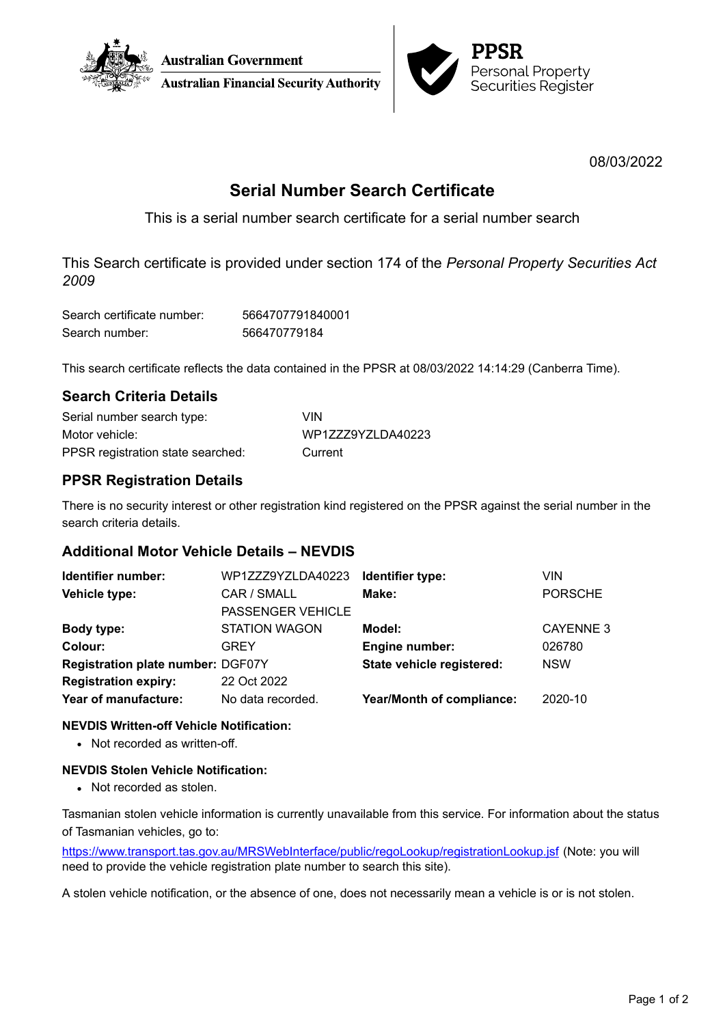



08/03/2022

# **Serial Number Search Certificate**

This is a serial number search certificate for a serial number search

This Search certificate is provided under section 174 of the *Personal Property Securities Act 2009*

| Search certificate number: | 5664707791840001 |
|----------------------------|------------------|
| Search number:             | 566470779184     |

This search certificate reflects the data contained in the PPSR at 08/03/2022 14:14:29 (Canberra Time).

## **Search Criteria Details**

| Serial number search type:        | VIN               |
|-----------------------------------|-------------------|
| Motor vehicle:                    | WP1ZZZ9YZLDA40223 |
| PPSR registration state searched: | Current           |

## **PPSR Registration Details**

There is no security interest or other registration kind registered on the PPSR against the serial number in the search criteria details.

## **Additional Motor Vehicle Details – NEVDIS**

| Identifier number:                       | WP1ZZZ9YZLDA40223        | Identifier type:          | VIN.             |
|------------------------------------------|--------------------------|---------------------------|------------------|
| Vehicle type:                            | CAR / SMALL              | Make:                     | <b>PORSCHE</b>   |
|                                          | <b>PASSENGER VEHICLE</b> |                           |                  |
| Body type:                               | <b>STATION WAGON</b>     | Model:                    | <b>CAYENNE 3</b> |
| Colour:                                  | <b>GREY</b>              | Engine number:            | 026780           |
| <b>Registration plate number: DGF07Y</b> |                          | State vehicle registered: | <b>NSW</b>       |
| <b>Registration expiry:</b>              | 22 Oct 2022              |                           |                  |
| Year of manufacture:                     | No data recorded.        | Year/Month of compliance: | 2020-10          |

### **NEVDIS Written-off Vehicle Notification:**

• Not recorded as written-off.

### **NEVDIS Stolen Vehicle Notification:**

• Not recorded as stolen.

Tasmanian stolen vehicle information is currently unavailable from this service. For information about the status of Tasmanian vehicles, go to:

<https://www.transport.tas.gov.au/MRSWebInterface/public/regoLookup/registrationLookup.jsf> (Note: you will need to provide the vehicle registration plate number to search this site).

A stolen vehicle notification, or the absence of one, does not necessarily mean a vehicle is or is not stolen.